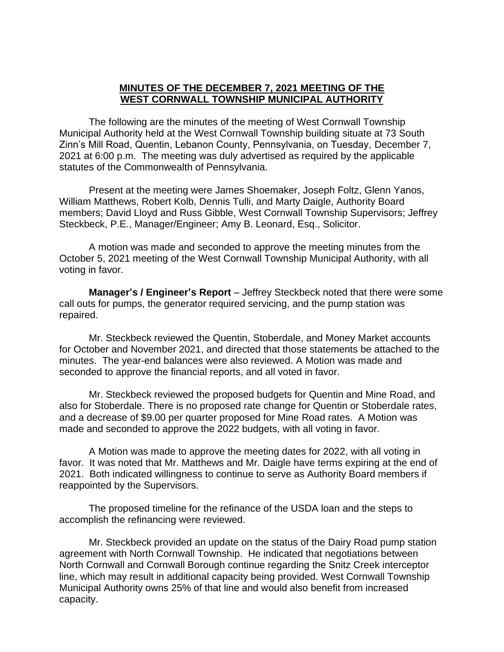## **MINUTES OF THE DECEMBER 7, 2021 MEETING OF THE WEST CORNWALL TOWNSHIP MUNICIPAL AUTHORITY**

The following are the minutes of the meeting of West Cornwall Township Municipal Authority held at the West Cornwall Township building situate at 73 South Zinn's Mill Road, Quentin, Lebanon County, Pennsylvania, on Tuesday, December 7, 2021 at 6:00 p.m. The meeting was duly advertised as required by the applicable statutes of the Commonwealth of Pennsylvania.

Present at the meeting were James Shoemaker, Joseph Foltz, Glenn Yanos, William Matthews, Robert Kolb, Dennis Tulli, and Marty Daigle, Authority Board members; David Lloyd and Russ Gibble, West Cornwall Township Supervisors; Jeffrey Steckbeck, P.E., Manager/Engineer; Amy B. Leonard, Esq., Solicitor.

A motion was made and seconded to approve the meeting minutes from the October 5, 2021 meeting of the West Cornwall Township Municipal Authority, with all voting in favor.

**Manager's / Engineer's Report** – Jeffrey Steckbeck noted that there were some call outs for pumps, the generator required servicing, and the pump station was repaired.

Mr. Steckbeck reviewed the Quentin, Stoberdale, and Money Market accounts for October and November 2021, and directed that those statements be attached to the minutes. The year-end balances were also reviewed. A Motion was made and seconded to approve the financial reports, and all voted in favor.

Mr. Steckbeck reviewed the proposed budgets for Quentin and Mine Road, and also for Stoberdale. There is no proposed rate change for Quentin or Stoberdale rates, and a decrease of \$9.00 per quarter proposed for Mine Road rates. A Motion was made and seconded to approve the 2022 budgets, with all voting in favor.

A Motion was made to approve the meeting dates for 2022, with all voting in favor. It was noted that Mr. Matthews and Mr. Daigle have terms expiring at the end of 2021. Both indicated willingness to continue to serve as Authority Board members if reappointed by the Supervisors.

The proposed timeline for the refinance of the USDA loan and the steps to accomplish the refinancing were reviewed.

Mr. Steckbeck provided an update on the status of the Dairy Road pump station agreement with North Cornwall Township. He indicated that negotiations between North Cornwall and Cornwall Borough continue regarding the Snitz Creek interceptor line, which may result in additional capacity being provided. West Cornwall Township Municipal Authority owns 25% of that line and would also benefit from increased capacity.